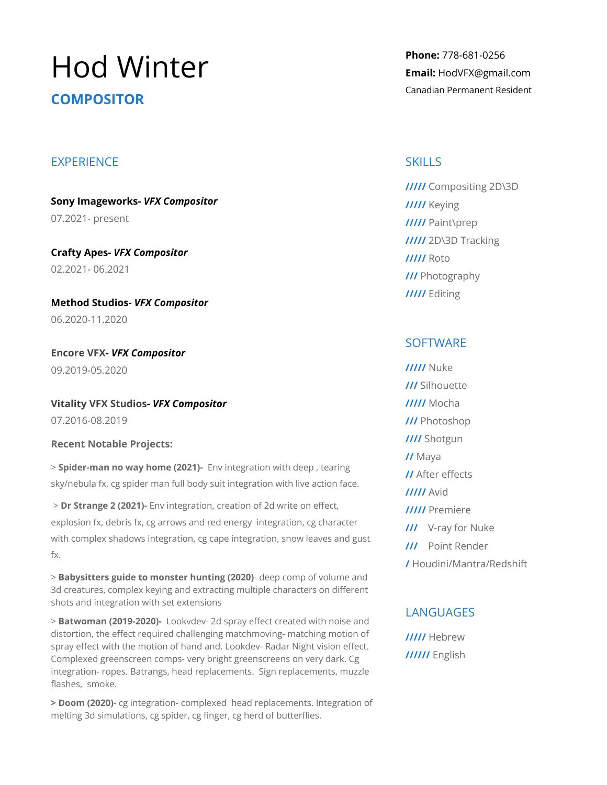# Hod Winter **COMPOSITOR**

## **EXPERIENCE**

**Sony Imageworks-** *VFX Compositor* 07.2021- present

**Crafty Apes-** *VFX Compositor* 02.2021- 06.2021

**Method Studios***- VFX Compositor* 06.2020-11.2020

**Encore VFX-** *VFX Compositor* 09.2019-05.2020

**Vitality VFX Studios-** *VFX Compositor* 07.2016-08.2019

**Recent Notable Projects:**

> **Spider-man no way home (2021)-** Env integration with deep , tearing sky/nebula fx, cg spider man full body suit integration with live action face.

> **Dr Strange 2 (2021)-** Env integration, creation of 2d write on effect, explosion fx, debris fx, cg arrows and red energy integration, cg character with complex shadows integration, cg cape integration, snow leaves and gust fx.

> **Babysitters guide to monster hunting (2020)**- deep comp of volume and 3d creatures, complex keying and extracting multiple characters on different shots and integration with set extensions

> **Batwoman (2019-2020)-** Lookvdev- 2d spray effect created with noise and distortion, the effect required challenging matchmoving- matching motion of spray effect with the motion of hand and. Lookdev- Radar Night vision effect. Complexed greenscreen comps- very bright greenscreens on very dark. Cg integration- ropes. Batrangs, head replacements. Sign replacements, muzzle flashes, smoke.

**> Doom (2020)**- cg integration- complexed head replacements. Integration of melting 3d simulations, cg spider, cg finger, cg herd of butterflies.

**Phone:** 778-681-0256 **Email:** HodVFX@gmail.com Canadian Permanent Resident

## **SKILLS**

**/////** Compositing 2D\3D **/////** Keying **/////** Paint\prep **/////** 2D\3D Tracking **/////** Roto **///** Photography **/////** Editing

# **SOFTWARE**

**/////** Nuke **///** Silhouette **/////** Mocha **///** Photoshop **////** Shotgun **//** Maya **//** After effects **/////** Avid **/////** Premiere **///** V-ray for Nuke **///** Point Render **/** Houdini/Mantra/Redshift

# **LANGUAGES**

**/////** Hebrew **//////** English